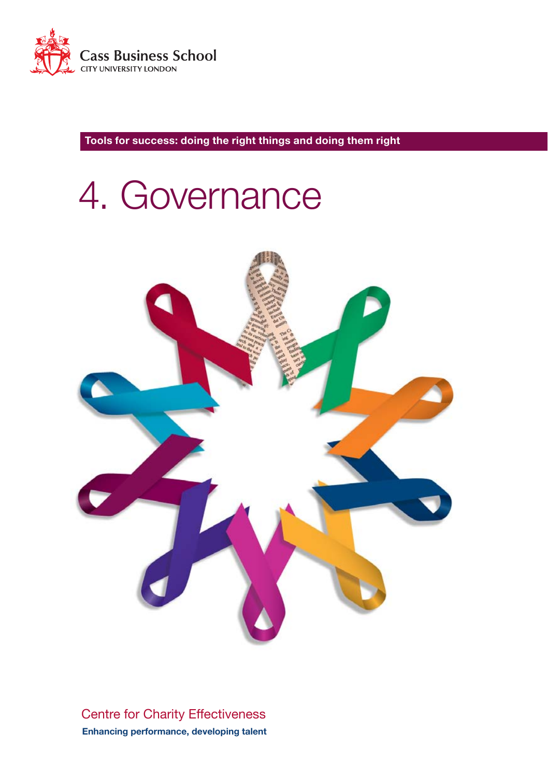

# 4. Governance



Centre for Charity Effectiveness **Enhancing performance, developing talent**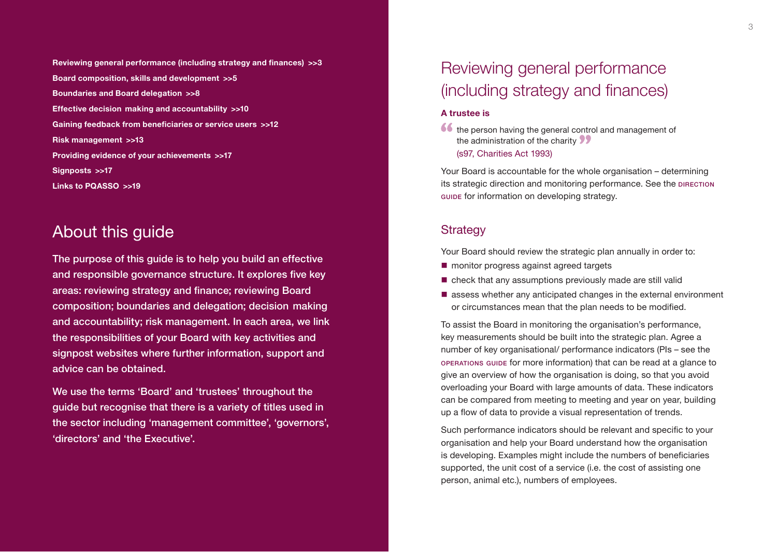**- [Effective decision making and accountability >>1](#page-5-0)0 [Gaining feedback from beneficiaries or service users >>1](#page-6-0)2 Reviewing general performance (including strategy and finances) >>3 [Board composition, skills and development >>](#page-2-0)5 [Boundaries and Board delegation >>](#page-4-0)8 [Risk management >>1](#page-6-0)3 [Providing evidence of your achievements >>1](#page-8-0)7 [Signposts >>1](#page-8-0)7 [Links to PQASSO >>1](#page-9-0)9** 

### About this guide

- composition; boundaries and delegation; decision making The purpose of this guide is to help you build an effective and responsible governance structure. It explores five key areas: reviewing strategy and finance; reviewing Board and accountability; risk management. In each area, we link the responsibilities of your Board with key activities and signpost websites where further information, support and advice can be obtained.

We use the terms 'Board' and 'trustees' throughout the guide but recognise that there is a variety of titles used in the sector including 'management committee', 'governors', 'directors' and 'the Executive'.

# Reviewing general performance (including strategy and finances)

### **A trustee is**

the person having the general control and management of the administration of the charity (s97, Charities Act 1993)

Your Board is accountable for the whole organisation – determining its strategic direction and monitoring performance. See the DIRECTION guide for information on developing strategy.

### **Strategy**

Your Board should review the strategic plan annually in order to:

- **n** monitor progress against agreed targets
- check that any assumptions previously made are still valid
- assess whether any anticipated changes in the external environment or circumstances mean that the plan needs to be modified.

To assist the Board in monitoring the organisation's performance, key measurements should be built into the strategic plan. Agree a number of key organisational/ performance indicators (PIs – see the operations guide for more information) that can be read at a glance to give an overview of how the organisation is doing, so that you avoid overloading your Board with large amounts of data. These indicators can be compared from meeting to meeting and year on year, building up a flow of data to provide a visual representation of trends.

Such performance indicators should be relevant and specific to your organisation and help your Board understand how the organisation is developing. Examples might include the numbers of beneficiaries supported, the unit cost of a service (i.e. the cost of assisting one person, animal etc.), numbers of employees.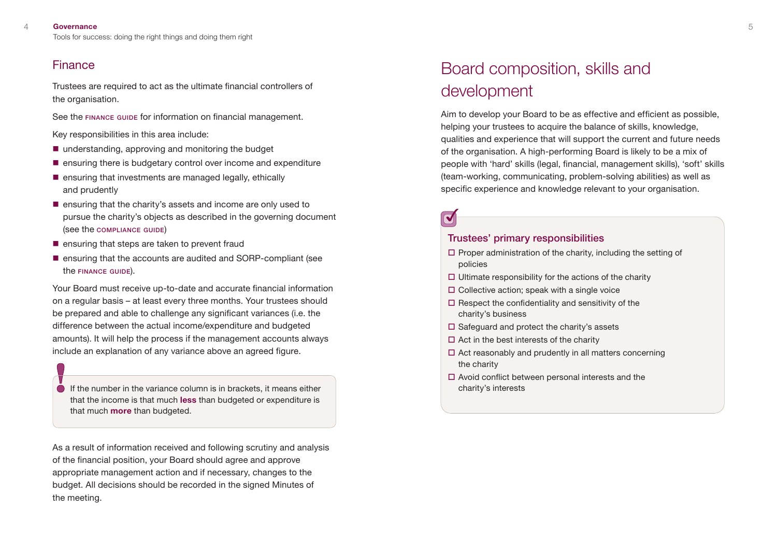### <span id="page-2-0"></span>Finance

Trustees are required to act as the ultimate financial controllers of the organisation.

See the FINANCE GUIDE for information on financial management.

Key responsibilities in this area include:

- understanding, approving and monitoring the budget
- $\blacksquare$  ensuring there is budgetary control over income and expenditure
- $\blacksquare$  ensuring that investments are managed legally, ethically and prudently
- **E** ensuring that the charity's assets and income are only used to pursue the charity's objects as described in the governing document (see the compliance guide)
- $\blacksquare$  ensuring that steps are taken to prevent fraud
- $\blacksquare$  ensuring that the accounts are audited and SORP-compliant (see the **FINANCE** GUIDE).

Your Board must receive up-to-date and accurate financial information on a regular basis – at least every three months. Your trustees should be prepared and able to challenge any significant variances (i.e. the difference between the actual income/expenditure and budgeted amounts). It will help the process if the management accounts always include an explanation of any variance above an agreed figure.

If the number in the variance column is in brackets, it means either that the income is that much **less** than budgeted or expenditure is that much **more** than budgeted.

As a result of information received and following scrutiny and analysis of the financial position, your Board should agree and approve appropriate management action and if necessary, changes to the budget. All decisions should be recorded in the signed Minutes of the meeting.

# Board composition, skills and development

Aim to develop your Board to be as effective and efficient as possible, helping your trustees to acquire the balance of skills, knowledge, qualities and experience that will support the current and future needs of the organisation. A high-performing Board is likely to be a mix of people with 'hard' skills (legal, financial, management skills), 'soft' skills (team-working, communicating, problem-solving abilities) as well as specific experience and knowledge relevant to your organisation.

# $\blacktriangledown$

### Trustees' primary responsibilities

- $\square$  Proper administration of the charity, including the setting of policies
- $\Box$  Ultimate responsibility for the actions of the charity
- $\square$  Collective action; speak with a single voice
- $\square$  Respect the confidentiality and sensitivity of the charity's business
- $\square$  Safeguard and protect the charity's assets
- $\Box$  Act in the best interests of the charity
- $\Box$  Act reasonably and prudently in all matters concerning the charity
- $\Box$  Avoid conflict between personal interests and the charity's interests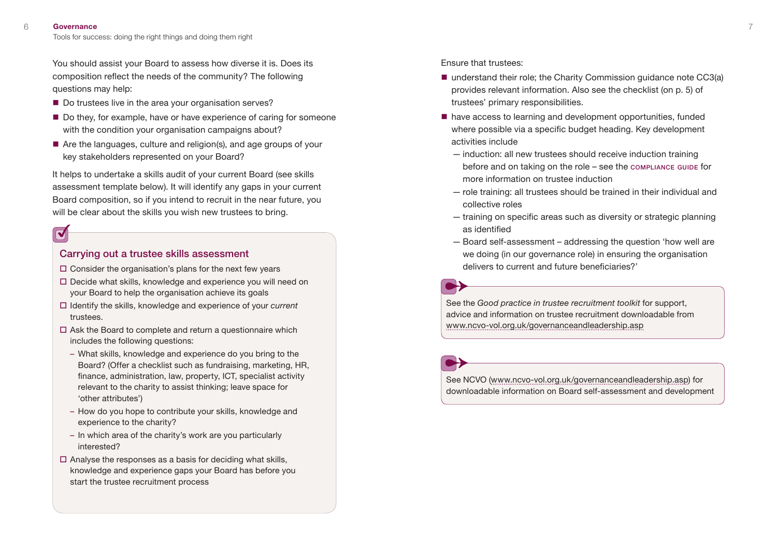You should assist your Board to assess how diverse it is. Does its composition reflect the needs of the community? The following questions may help:

- Do trustees live in the area your organisation serves?
- Do they, for example, have or have experience of caring for someone with the condition your organisation campaigns about?
- Are the languages, culture and religion(s), and age groups of your key stakeholders represented on your Board?

It helps to undertake a skills audit of your current Board (see skills assessment template below). It will identify any gaps in your current Board composition, so if you intend to recruit in the near future, you will be clear about the skills you wish new trustees to bring.

### $\overline{\blacktriangledown}$

### Carrying out a trustee skills assessment

- $\square$  Consider the organisation's plans for the next few years
- Decide what skills, knowledge and experience you will need on your Board to help the organisation achieve its goals
- Identify the skills, knowledge and experience of your *current*  trustees.
- $\Box$  Ask the Board to complete and return a questionnaire which includes the following questions:
	- What skills, knowledge and experience do you bring to the Board? (Offer a checklist such as fundraising, marketing, HR, finance, administration, law, property, ICT, specialist activity relevant to the charity to assist thinking; leave space for 'other attributes')
	- How do you hope to contribute your skills, knowledge and experience to the charity?
	- In which area of the charity's work are you particularly interested?
- $\Box$  Analyse the responses as a basis for deciding what skills, knowledge and experience gaps your Board has before you start the trustee recruitment process

Ensure that trustees:

- understand their role; the Charity Commission quidance note CC3(a) provides relevant information. Also see the checklist (on p. 5) of trustees' primary responsibilities.
- have access to learning and development opportunities, funded where possible via a specific budget heading. Key development activities include
	- induction: all new trustees should receive induction training before and on taking on the role  $-$  see the compliance guide for more information on trustee induction
	- role training: all trustees should be trained in their individual and collective roles
	- training on specific areas such as diversity or strategic planning as identified
	- Board self-assessment addressing the question 'how well are we doing (in our governance role) in ensuring the organisation delivers to current and future beneficiaries?'

See the *Good practice in trustee recruitment toolkit* for support, advice and information on trustee recruitment downloadable from [www.ncvo-vol.org.uk/governanceandleadership.asp](http://www.ncvo-vol.org.uk/governanceandleadership.asp) 

See NCVO [\(www.ncvo-vol.org.uk/governanceandleadership.asp\)](http://www.ncvo-vol.org.uk/governanceandleadership.asp) for downloadable information on Board self-assessment and development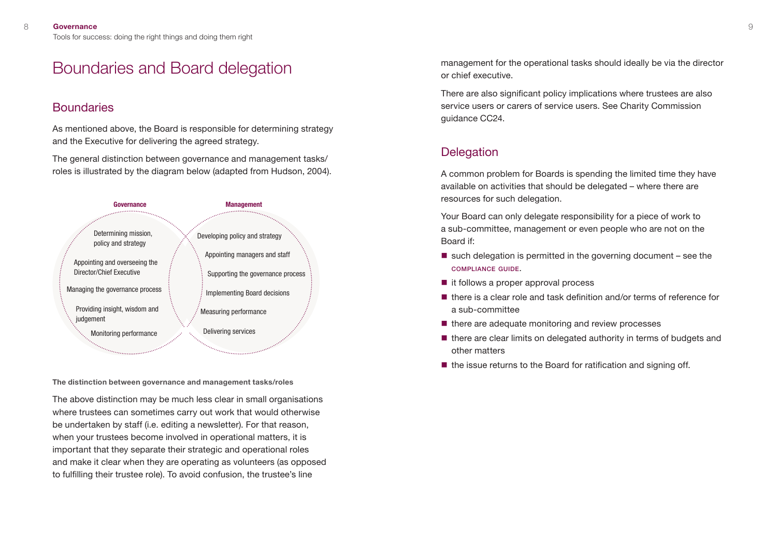## <span id="page-4-0"></span>Boundaries and Board delegation

### **Boundaries**

As mentioned above, the Board is responsible for determining strategy and the Executive for delivering the agreed strategy.

The general distinction between governance and management tasks/ roles is illustrated by the diagram below (adapted from Hudson, 2004).



**The distinction between governance and management tasks/roles** 

The above distinction may be much less clear in small organisations where trustees can sometimes carry out work that would otherwise be undertaken by staff (i.e. editing a newsletter). For that reason, when your trustees become involved in operational matters, it is important that they separate their strategic and operational roles and make it clear when they are operating as volunteers (as opposed to fulfilling their trustee role). To avoid confusion, the trustee's line

management for the operational tasks should ideally be via the director or chief executive.

There are also significant policy implications where trustees are also service users or carers of service users. See Charity Commission auidance CC24.

### **Delegation**

A common problem for Boards is spending the limited time they have available on activities that should be delegated – where there are resources for such delegation.

Your Board can only delegate responsibility for a piece of work to a sub-committee, management or even people who are not on the Board if:

- $\blacksquare$  such delegation is permitted in the governing document see the compliance guide.
- $\blacksquare$  it follows a proper approval process
- $\blacksquare$  there is a clear role and task definition and/or terms of reference for a sub-committee
- $\blacksquare$  there are adequate monitoring and review processes
- $\blacksquare$  there are clear limits on delegated authority in terms of budgets and other matters
- $\blacksquare$  the issue returns to the Board for ratification and signing off.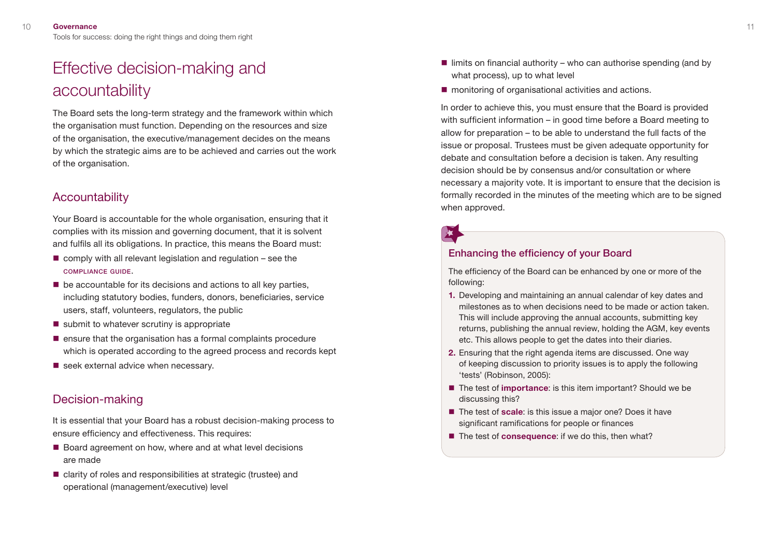# <span id="page-5-0"></span>Effective decision-making and accountability

The Board sets the long-term strategy and the framework within which the organisation must function. Depending on the resources and size of the organisation, the executive/management decides on the means by which the strategic aims are to be achieved and carries out the work of the organisation.

### **Accountability**

Your Board is accountable for the whole organisation, ensuring that it complies with its mission and governing document, that it is solvent and fulfils all its obligations. In practice, this means the Board must:

- $\blacksquare$  comply with all relevant legislation and regulation see the compliance guide.
- $\blacksquare$  be accountable for its decisions and actions to all key parties, including statutory bodies, funders, donors, beneficiaries, service users, staff, volunteers, regulators, the public
- $\blacksquare$  submit to whatever scrutiny is appropriate
- $\blacksquare$  ensure that the organisation has a formal complaints procedure which is operated according to the agreed process and records kept
- $\blacksquare$  seek external advice when necessary.

### Decision-making

It is essential that your Board has a robust decision-making process to ensure efficiency and effectiveness. This requires:

- Board agreement on how, where and at what level decisions are made
- clarity of roles and responsibilities at strategic (trustee) and operational (management/executive) level
- $\blacksquare$  limits on financial authority who can authorise spending (and by what process), up to what level
- monitoring of organisational activities and actions.

In order to achieve this, you must ensure that the Board is provided with sufficient information – in good time before a Board meeting to allow for preparation – to be able to understand the full facts of the issue or proposal. Trustees must be given adequate opportunity for debate and consultation before a decision is taken. Any resulting decision should be by consensus and/or consultation or where necessary a majority vote. It is important to ensure that the decision is formally recorded in the minutes of the meeting which are to be signed when approved.

### Enhancing the efficiency of your Board

The efficiency of the Board can be enhanced by one or more of the following:

- **1.** Developing and maintaining an annual calendar of key dates and milestones as to when decisions need to be made or action taken. This will include approving the annual accounts, submitting key returns, publishing the annual review, holding the AGM, key events etc. This allows people to get the dates into their diaries.
- **2.** Ensuring that the right agenda items are discussed. One way of keeping discussion to priority issues is to apply the following 'tests' (Robinson, 2005):
- The test of **importance**: is this item important? Should we be discussing this?
- The test of **scale**: is this issue a major one? Does it have significant ramifications for people or finances
- The test of **consequence**: if we do this, then what?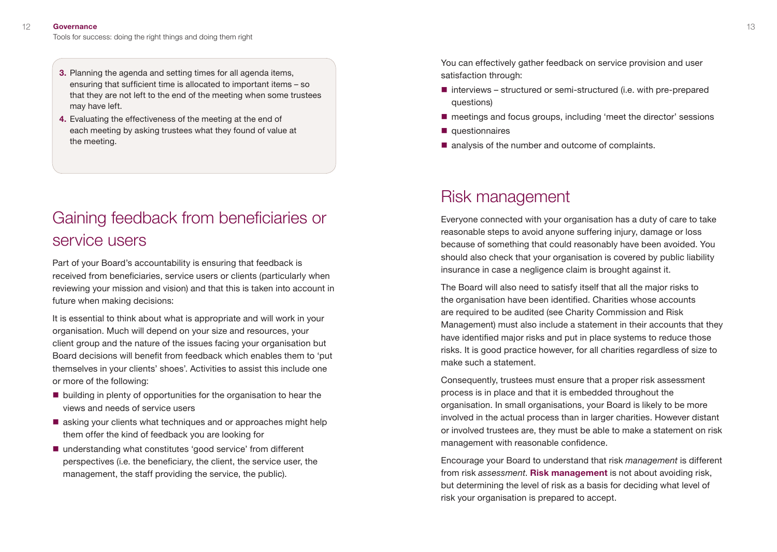- <span id="page-6-0"></span>**3.** Planning the agenda and setting times for all agenda items, ensuring that sufficient time is allocated to important items – so that they are not left to the end of the meeting when some trustees may have left.
- **4.** Evaluating the effectiveness of the meeting at the end of each meeting by asking trustees what they found of value at the meeting.

# Gaining feedback from beneficiaries or service users

Part of your Board's accountability is ensuring that feedback is received from beneficiaries, service users or clients (particularly when reviewing your mission and vision) and that this is taken into account in future when making decisions:

It is essential to think about what is appropriate and will work in your organisation. Much will depend on your size and resources, your client group and the nature of the issues facing your organisation but Board decisions will benefit from feedback which enables them to 'put themselves in your clients' shoes'. Activities to assist this include one or more of the following:

- $\blacksquare$  building in plenty of opportunities for the organisation to hear the views and needs of service users
- asking your clients what techniques and or approaches might help them offer the kind of feedback you are looking for
- understanding what constitutes 'good service' from different perspectives (i.e. the beneficiary, the client, the service user, the management, the staff providing the service, the public).

You can effectively gather feedback on service provision and user satisfaction through:

- $\blacksquare$  interviews structured or semi-structured (i.e. with pre-prepared questions)
- meetings and focus groups, including 'meet the director' sessions
- $\blacksquare$  questionnaires
- analysis of the number and outcome of complaints.

## Risk management

Everyone connected with your organisation has a duty of care to take reasonable steps to avoid anyone suffering injury, damage or loss because of something that could reasonably have been avoided. You should also check that your organisation is covered by public liability insurance in case a negligence claim is brought against it.

The Board will also need to satisfy itself that all the major risks to the organisation have been identified. Charities whose accounts are required to be audited (see Charity Commission and Risk Management) must also include a statement in their accounts that they have identified major risks and put in place systems to reduce those risks. It is good practice however, for all charities regardless of size to make such a statement.

Consequently, trustees must ensure that a proper risk assessment process is in place and that it is embedded throughout the organisation. In small organisations, your Board is likely to be more involved in the actual process than in larger charities. However distant or involved trustees are, they must be able to make a statement on risk management with reasonable confidence.

Encourage your Board to understand that risk *management* is different from risk *assessment*. **Risk management** is not about avoiding risk, but determining the level of risk as a basis for deciding what level of risk your organisation is prepared to accept.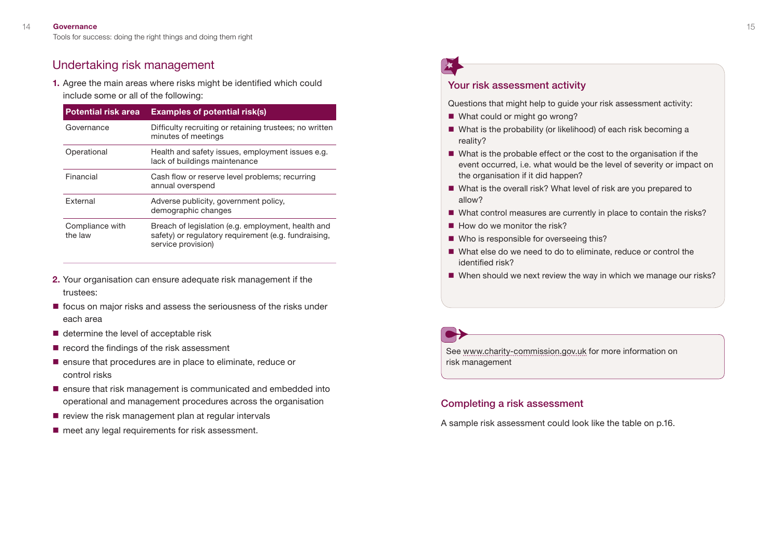### Undertaking risk management

**1.** Agree the main areas where risks might be identified which could include some or all of the following:

| <b>Potential risk area</b> | <b>Examples of potential risk(s)</b>                                                                                             |
|----------------------------|----------------------------------------------------------------------------------------------------------------------------------|
| Governance                 | Difficulty recruiting or retaining trustees; no written<br>minutes of meetings                                                   |
| Operational                | Health and safety issues, employment issues e.g.<br>lack of buildings maintenance                                                |
| Financial                  | Cash flow or reserve level problems; recurring<br>annual overspend                                                               |
| <b>External</b>            | Adverse publicity, government policy,<br>demographic changes                                                                     |
| Compliance with<br>the law | Breach of legislation (e.g. employment, health and<br>safety) or regulatory requirement (e.g. fundraising,<br>service provision) |

- **2.** Your organisation can ensure adequate risk management if the trustees:
- $\blacksquare$  focus on major risks and assess the seriousness of the risks under each area
- determine the level of acceptable risk
- $\blacksquare$  record the findings of the risk assessment
- **E** ensure that procedures are in place to eliminate, reduce or control risks
- $\blacksquare$  ensure that risk management is communicated and embedded into operational and management procedures across the organisation Completing a risk assessment
- 
- 

### Your risk assessment activity

Questions that might help to guide your risk assessment activity:

- What could or might go wrong?
- What is the probability (or likelihood) of each risk becoming a reality?
- What is the probable effect or the cost to the organisation if the event occurred, i.e. what would be the level of severity or impact on the organisation if it did happen?
- What is the overall risk? What level of risk are you prepared to allow?
- What control measures are currently in place to contain the risks?
- $\blacksquare$  How do we monitor the risk?
- Who is responsible for overseeing this?
- What else do we need to do to eliminate, reduce or control the identified risk?
- When should we next review the way in which we manage our risks?

See [www.charity-commission.gov.uk](http://www.charity-commission.gov.uk) for more information on risk management

■ review the risk management plan at regular intervals<br>■ meet any legal requirements for risk assessment.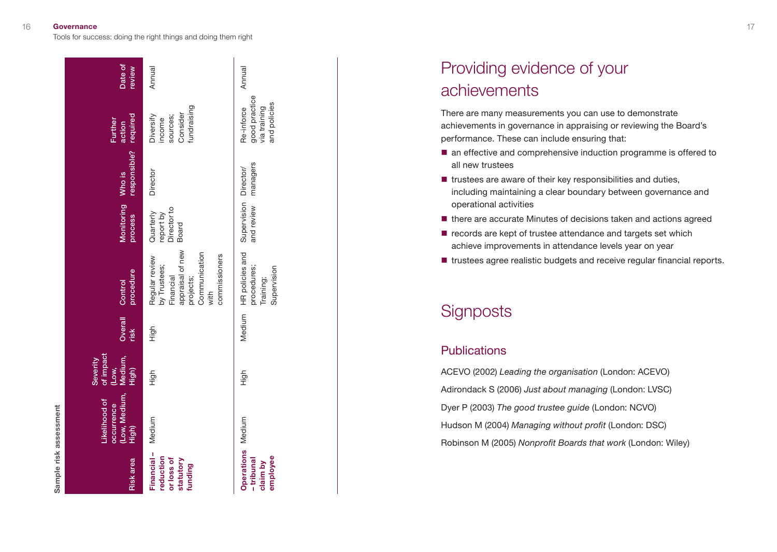| <b>Risk</b> area                                              | (Low, Medium,<br>Likelihood of<br>occurrence<br>High) | of impact<br>Medium,<br>High)<br>Severity<br>(Low, | Overall<br>risk | procedure<br>Control                                                                                                   | Monitoring<br>process                          | responsible? required<br>Who is | Further<br>action                                           | Date of<br>review |
|---------------------------------------------------------------|-------------------------------------------------------|----------------------------------------------------|-----------------|------------------------------------------------------------------------------------------------------------------------|------------------------------------------------|---------------------------------|-------------------------------------------------------------|-------------------|
| Financial-<br>reduction<br>or loss of<br>statutory<br>funding | Medium                                                | High                                               | High            | appraisal of new<br>Communication<br>commissioners<br>Regular review<br>by Trustees;<br>Financial<br>projects;<br>with | Director to<br>Quarterly<br>report by<br>Board | Director                        | fundraising<br>Consider<br>Diversify<br>sources;<br>income  | Annual            |
| Operations Medium<br>employee<br>- tribunal<br>claim by       |                                                       | High                                               |                 | Medium HR policies and<br>procedures;<br>Supervision<br>Training;                                                      | and review managers<br>Supervision Director/   |                                 | good practice<br>and policies<br>Re-inforce<br>via training | Annual            |

# Providing evidence of your achievements

There are many measurements you can use to demonstrate achievements in governance in appraising or reviewing the Board's performance. These can include ensuring that:

- an effective and comprehensive induction programme is offered to all new trustees
- $\blacksquare$  trustees are aware of their key responsibilities and duties, including maintaining a clear boundary between governance and operational activities
- $\blacksquare$  there are accurate Minutes of decisions taken and actions agreed
- $\blacksquare$  records are kept of trustee attendance and targets set which achieve improvements in attendance levels year on year
- trustees agree realistic budgets and receive regular financial reports.

## **Signposts**

### **Publications**

ACEVO (2002) *Leading the organisation* (London: ACEVO) Adirondack S (2006) *Just about managing* (London: LVSC) Dyer P (2003) *The good trustee guide* (London: NCVO) Hudson M (2004) *Managing without profit* (London: DSC) Robinson M (2005) *Nonprofit Boards that work* (London: Wiley)

<span id="page-8-0"></span>Tools for success: doing the right things and doing them right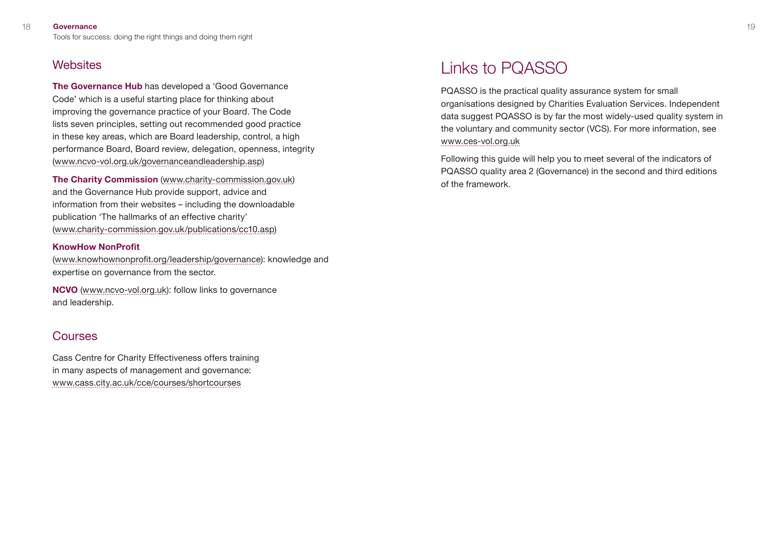### <span id="page-9-0"></span>**Websites**

**The Governance Hub** has developed a 'Good Governance Code' which is a useful starting place for thinking about improving the governance practice of your Board. The Code lists seven principles, setting out recommended good practice in these key areas, which are Board leadership, control, a high performance Board, Board review, delegation, openness, integrity [\(www.ncvo-vol.org.uk/governanceandleadership.asp\)](http://www.ncvo-vol.org.uk/governanceandleadership.asp)

**The Charity Commission** ([www.charity-commission.gov.uk\)](http://www.charity-commission.gov.uk) and the Governance Hub provide support, advice and information from their websites – including the downloadable publication 'The hallmarks of an effective charity' ([www.charity-commission.gov.uk/publications/cc10.asp](http://www.charity-commission.gov.uk/publications/cc10.asp))

### **KnowHow NonProfit**

([www.knowhownonprofit.org/leadership/governance](http://www.knowhownonprofit.org/leadership/governance):)): knowledge and expertise on governance from the sector.

**NCVO** [\(www.ncvo-vol.org.uk\)](http://www.ncvo-vol.org.uk):): follow links to governance and leadership.

### Courses

Cass Centre for Charity Effectiveness offers training in many aspects of management and governance: [www.cass.city.ac.uk/cce/courses/shortcourses](http://www.cass.city.ac.uk/cce/courses/shortcourses)

# Links to PQASSO

PQASSO is the practical quality assurance system for small organisations designed by Charities Evaluation Services. Independent data suggest PQASSO is by far the most widely-used quality system in the voluntary and community sector (VCS). For more information, see [www.ces-vol.org.uk](http://www.ces-vol.org.uk) 

Following this guide will help you to meet several of the indicators of PQASSO quality area 2 (Governance) in the second and third editions of the framework.